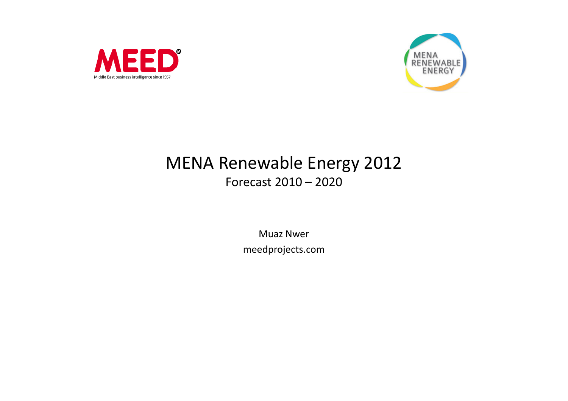



## MENA Renewable Energy 2012Forecast 2010 – <sup>2020</sup>

Muaz Nwer meedprojects.com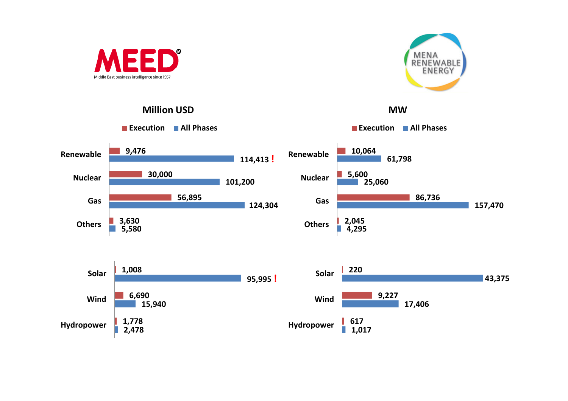





MW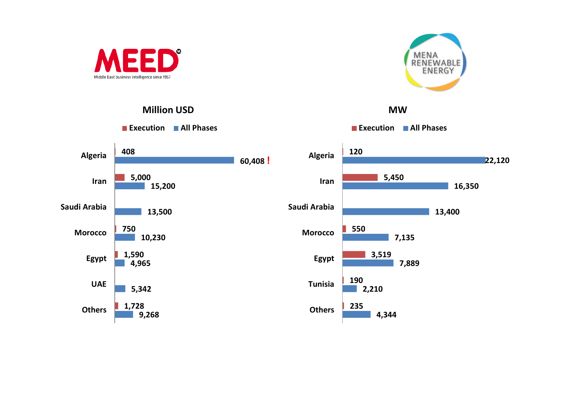



Million USD





MW

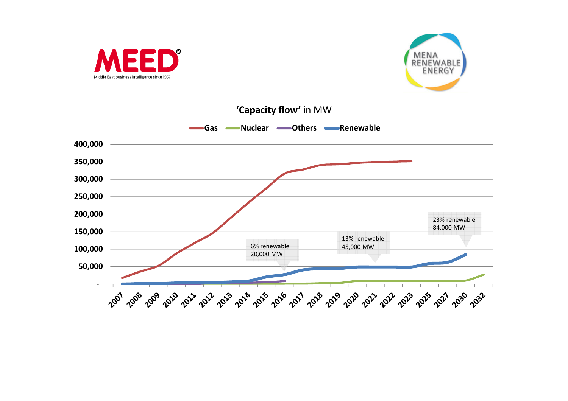



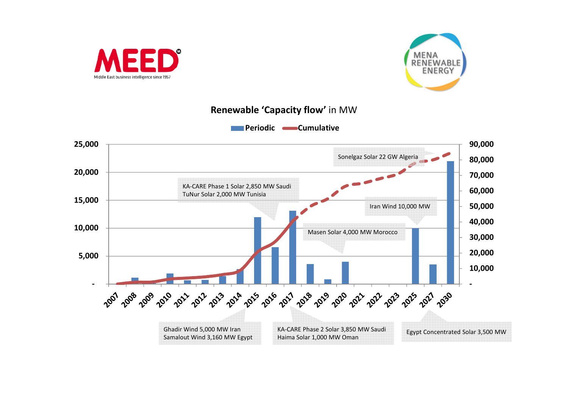



## Renewable 'Capacity flow' in MW

Periodic **Cumulative** 

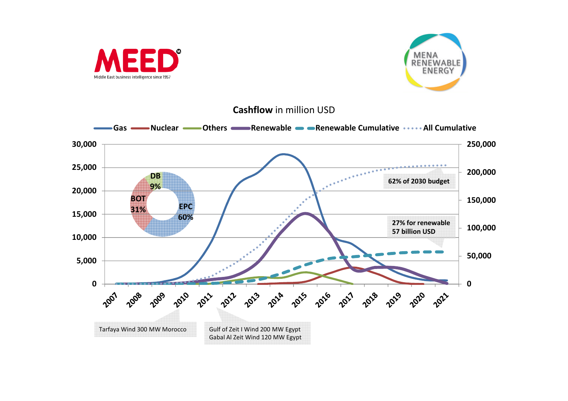



**Cashflow** in million USD

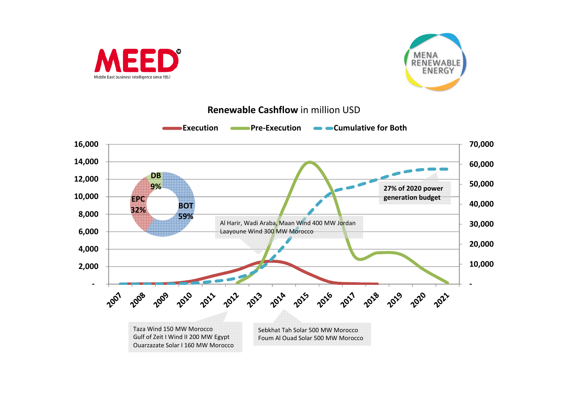



## Renewable Cashflow in million USD